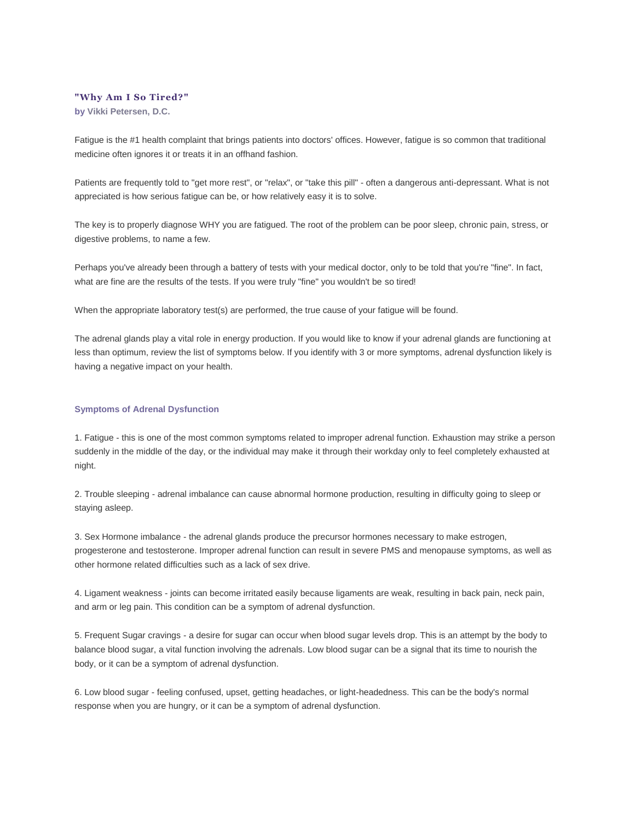## **"Why Am I So Tired?"**

**by [Vikki Petersen, D.C.](https://web.archive.org/web/20100402094053/http:/www.biohealthinfo.com/html/resources/doctorbios.html#vikki)**

Fatigue is the #1 health complaint that brings patients into doctors' offices. However, fatigue is so common that traditional medicine often ignores it or treats it in an offhand fashion.

Patients are frequently told to "get more rest", or "relax", or "take this pill" - often a dangerous anti-depressant. What is not appreciated is how serious fatigue can be, or how relatively easy it is to solve.

The key is to properly diagnose WHY you are fatigued. The root of the problem can be poor sleep, chronic pain, stress, or digestive problems, to name a few.

Perhaps you've already been through a battery of tests with your medical doctor, only to be told that you're "fine". In fact, what are fine are the results of the tests. If you were truly "fine" you wouldn't be so tired!

When the appropriate laboratory test(s) are performed, the true cause of your fatigue will be found.

The adrenal glands play a vital role in energy production. If you would like to know if your adrenal glands are functioning at less than optimum, review the list of symptoms below. If you identify with 3 or more symptoms, adrenal dysfunction likely is having a negative impact on your health.

## **Symptoms of Adrenal Dysfunction**

1. Fatigue - this is one of the most common symptoms related to improper adrenal function. Exhaustion may strike a person suddenly in the middle of the day, or the individual may make it through their workday only to feel completely exhausted at night.

2. Trouble sleeping - adrenal imbalance can cause abnormal hormone production, resulting in difficulty going to sleep or staying asleep.

3. Sex Hormone imbalance - the adrenal glands produce the precursor hormones necessary to make estrogen, progesterone and testosterone. Improper adrenal function can result in severe PMS and menopause symptoms, as well as other hormone related difficulties such as a lack of sex drive.

4. Ligament weakness - joints can become irritated easily because ligaments are weak, resulting in back pain, neck pain, and arm or leg pain. This condition can be a symptom of adrenal dysfunction.

5. Frequent Sugar cravings - a desire for sugar can occur when blood sugar levels drop. This is an attempt by the body to balance blood sugar, a vital function involving the adrenals. Low blood sugar can be a signal that its time to nourish the body, or it can be a symptom of adrenal dysfunction.

6. Low blood sugar - feeling confused, upset, getting headaches, or light-headedness. This can be the body's normal response when you are hungry, or it can be a symptom of adrenal dysfunction.